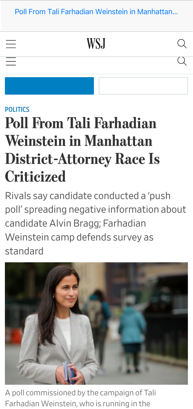[Poll From Tali Farhadian Weinstein in Manhattan…](https://www.wsj.com/articles/candidates-poll-in-manhattan-district-attorney-race-is-criticized-11623355910?st=kjepjptrr8kw102&reflink=desktopwebshare_permalink)

WSJ

 $( )$ 

[POLITICS](https://www.wsj.com/news/types/ny-politics?mod=breadcrumb)

# Poll From Tali Farhadian Weinstein in Manhattan District-Attorney Race Is **Criticized**

Rivals say candidate conducted a 'push poll' spreading negative information about candidate Alvin Bragg; Farhadian Weinstein camp defends survey as standard



A poll commissioned by the campaign of Tali Farhadian Weinstein, who is running in the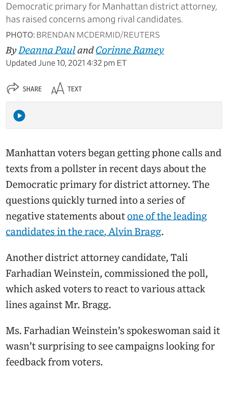Democratic primary for Manhattan district attorney, has raised concerns among rival candidates. PHOTO: BRENDAN MCDERMID/REUTERS

*By <u>Deanna Paul</u> and <u>Corinne Ramey</u>* Updated June 10, 2021 4:32 pm ET



 $\begin{bmatrix} 1 \\ 1 \end{bmatrix}$ 

Manhattan voters began getting phone calls and texts from a pollster in recent days about the Democratic primary for district attorney. The questions quickly turned into a series of [negative statements about one of the leading](https://www.wsj.com/articles/alvin-bragg-leans-on-harlem-roots-in-manhattan-district-attorney-race-11620576001?mod=article_inline) candidates in the race, Alvin Bragg.

Another district attorney candidate, Tali Farhadian Weinstein, commissioned the poll, which asked voters to react to various attack lines against Mr. Bragg.

Ms. Farhadian Weinstein's spokeswoman said it wasn't surprising to see campaigns looking for feedback from voters.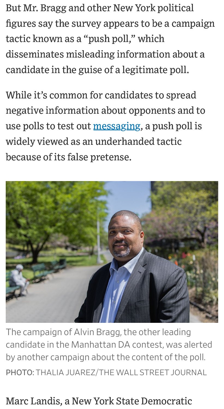But Mr. Bragg and other New York political figures say the survey appears to be a campaign tactic known as a "push poll," which disseminates misleading information about a candidate in the guise of a legitimate poll.

While it's common for candidates to spread negative information about opponents and to use polls to test out [messaging,](https://www.wsj.com/articles/manhattan-district-attorney-candidates-throw-out-traditional-playbook-11615813207?mod=series_nydarace&mod=article_inline) a push poll is widely viewed as an underhanded tactic because of its false pretense.



The campaign of Alvin Bragg, the other leading candidate in the Manhattan DA contest, was alerted by another campaign about the content of the poll. PHOTO: THALIA JUAREZ/THE WALL STREET JOURNAL

## Marc Landis, a New York State Democratic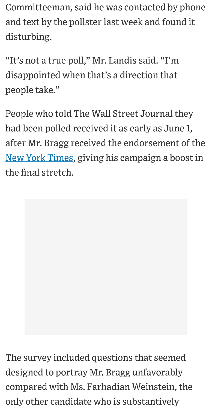Committeeman, said he was contacted by phone and text by the pollster last week and found it disturbing.

"It's not a true poll," Mr. Landis said. "I'm disappointed when that's a direction that people take."

People who told The Wall Street Journal they had been polled received it as early as June 1, after Mr. Bragg received the endorsement of the [New York Times,](https://www.wsj.com/market-data/quotes/NYT) giving his campaign a boost in the final stretch.

The survey included questions that seemed designed to portray Mr. Bragg unfavorably compared with Ms. Farhadian Weinstein, the only other candidate who is substantively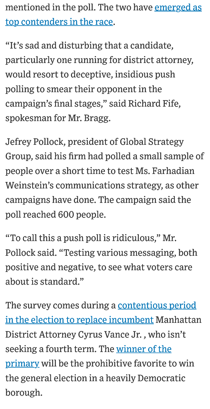[mentioned in the poll. The two have emerged as](https://www.wsj.com/articles/tali-farhadian-weinstein-alvin-bragg-lead-fundraising-in-manhattan-district-attorney-race-11621901113?mod=article_inline) top contenders in the race.

"It's sad and disturbing that a candidate, particularly one running for district attorney, would resort to deceptive, insidious push polling to smear their opponent in the campaign's final stages," said Richard Fife, spokesman for Mr. Bragg.

Jefrey Pollock, president of Global Strategy Group, said his firm had polled a small sample of people over a short time to test Ms. Farhadian Weinstein's communications strategy, as other campaigns have done. The campaign said the poll reached 600 people.

"To call this a push poll is ridiculous," Mr. Pollock said. "Testing various messaging, both positive and negative, to see what voters care about is standard."

The survey comes during a contentious period [in the election to replace incumbent Manhattan](https://www.wsj.com/articles/manhattan-district-attorney-candidates-walk-tightrope-on-trump-probe-11619704972?mod=article_inline) District Attorney Cyrus Vance Jr. , who isn't seeking a fourth term. The winner of the [primary will be the prohibitive favorite t](https://www.wsj.com/articles/manhattan-district-attorney-election-a-guide-to-the-eight-democratic-candidates-11621252802)o win the general election in a heavily Democratic borough.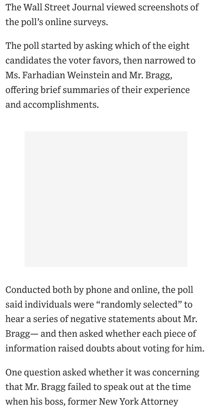The Wall Street Journal viewed screenshots of the poll's online surveys.

The poll started by asking which of the eight candidates the voter favors, then narrowed to Ms. Farhadian Weinstein and Mr. Bragg, offering brief summaries of their experience and accomplishments.

Conducted both by phone and online, the poll

said individuals were "randomly selected" to hear a series of negative statements about Mr. Bragg— and then asked whether each piece of information raised doubts about voting for him.

One question asked whether it was concerning that Mr. Bragg failed to speak out at the time when his boss, former New York Attorney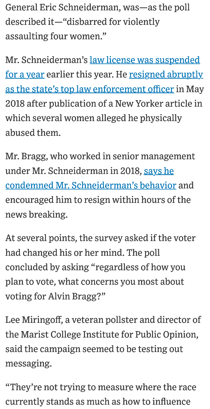General Eric Schneiderman, was—as the poll described it—"disbarred for violently assaulting four women."

[Mr. Schneiderman's law license was suspended](https://www.wsj.com/articles/eric-schneiderman-loses-law-license-for-one-year-11619573054) [for a year earlier this year. He resigned abruptly](https://www.wsj.com/articles/new-york-governor-andrew-cuomo-calls-for-resignation-of-attorney-general-eric-schneiderman-1525741156?mod=article_inline) as the state's top law enforcement officer in May 2018 after publication of a New Yorker article in which several women alleged he physically abused them.

Mr. Bragg, who worked in senior management under Mr. Schneiderman in 2018, says he [condemned Mr. Schneiderman's behavior](https://www.wsj.com/articles/manhattan-district-attorney-candidates-face-off-in-first-debate-11620163327) and encouraged him to resign within hours of the news breaking.

At several points, the survey asked if the voter had changed his or her mind. The poll concluded by asking "regardless of how you plan to vote, what concerns you most about voting for Alvin Bragg?"

Lee Miringoff, a veteran pollster and director of the Marist College Institute for Public Opinion, said the campaign seemed to be testing out messaging.

"They're not trying to measure where the race currently stands as much as how to influence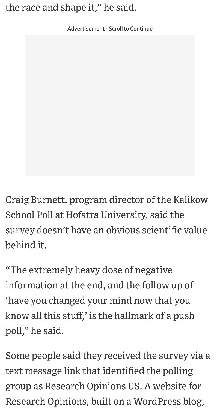## the race and shape it," he said.

Advertisement - Scroll to Continue

Craig Burnett, program director of the Kalikow School Poll at Hofstra University, said the survey doesn't have an obvious scientific value behind it.

"The extremely heavy dose of negative information at the end, and the follow up of 'have you changed your mind now that you know all this stuff,' is the hallmark of a push poll," he said.

Some people said they received the survey via a text message link that identified the polling group as Research Opinions US. A website for Research Opinions, built on a WordPress blog,